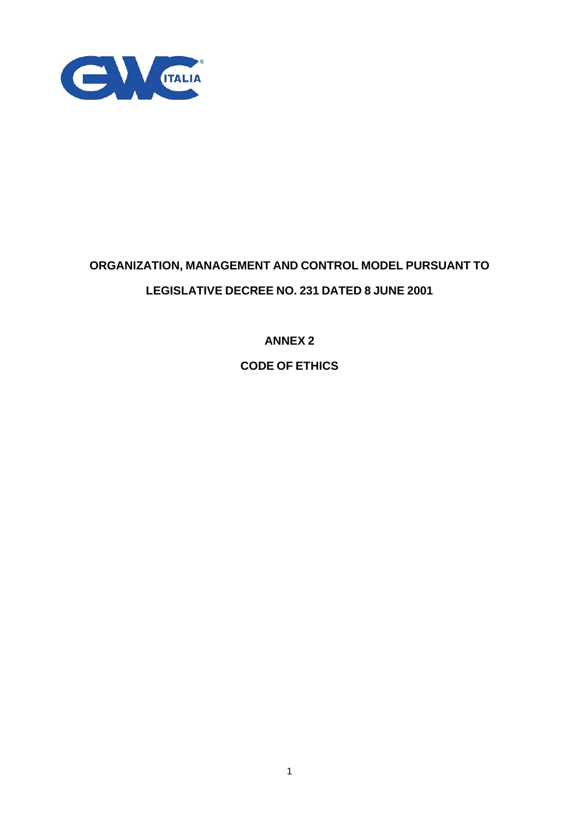

# **ORGANIZATION, MANAGEMENT AND CONTROL MODEL PURSUANT TO LEGISLATIVE DECREE NO. 231 DATED 8 JUNE 2001**

**ANNEX 2**

**CODE OF ETHICS**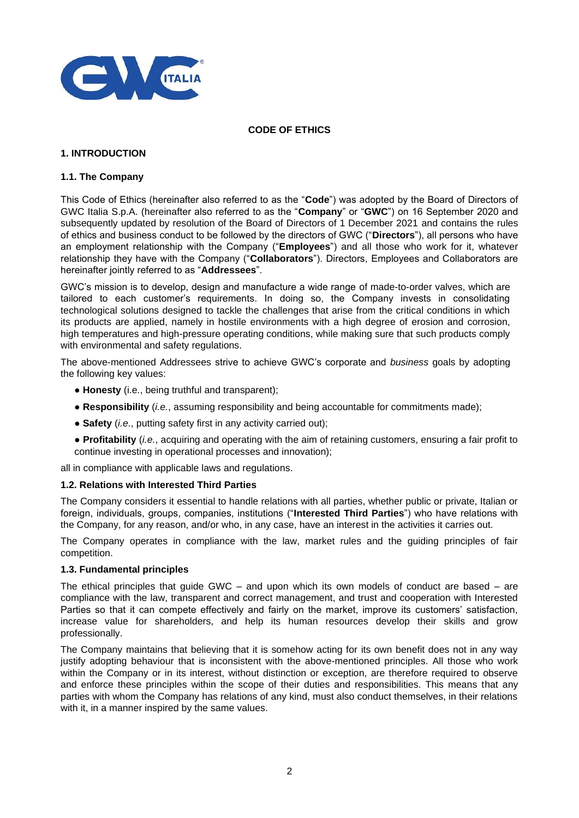

## **CODE OF ETHICS**

# **1. INTRODUCTION**

# **1.1. The Company**

This Code of Ethics (hereinafter also referred to as the "**Code**") was adopted by the Board of Directors of GWC Italia S.p.A. (hereinafter also referred to as the "**Company**" or "**GWC**") on 16 September 2020 and subsequently updated by resolution of the Board of Directors of 1 December 2021 and contains the rules of ethics and business conduct to be followed by the directors of GWC ("**Directors**"), all persons who have an employment relationship with the Company ("**Employees**") and all those who work for it, whatever relationship they have with the Company ("**Collaborators**"). Directors, Employees and Collaborators are hereinafter jointly referred to as "**Addressees**".

GWC's mission is to develop, design and manufacture a wide range of made-to-order valves, which are tailored to each customer's requirements. In doing so, the Company invests in consolidating technological solutions designed to tackle the challenges that arise from the critical conditions in which its products are applied, namely in hostile environments with a high degree of erosion and corrosion, high temperatures and high-pressure operating conditions, while making sure that such products comply with environmental and safety regulations.

The above-mentioned Addressees strive to achieve GWC's corporate and *business* goals by adopting the following key values:

- **Honesty** (i.e., being truthful and transparent);
- **Responsibility** (*i.e.*, assuming responsibility and being accountable for commitments made);
- **Safety** (*i.e.*, putting safety first in any activity carried out);
- **Profitability** (*i.e.*, acquiring and operating with the aim of retaining customers, ensuring a fair profit to continue investing in operational processes and innovation);

all in compliance with applicable laws and regulations.

#### **1.2. Relations with Interested Third Parties**

The Company considers it essential to handle relations with all parties, whether public or private, Italian or foreign, individuals, groups, companies, institutions ("**Interested Third Parties**") who have relations with the Company, for any reason, and/or who, in any case, have an interest in the activities it carries out.

The Company operates in compliance with the law, market rules and the guiding principles of fair competition.

#### **1.3. Fundamental principles**

The ethical principles that guide GWC – and upon which its own models of conduct are based – are compliance with the law, transparent and correct management, and trust and cooperation with Interested Parties so that it can compete effectively and fairly on the market, improve its customers' satisfaction, increase value for shareholders, and help its human resources develop their skills and grow professionally.

The Company maintains that believing that it is somehow acting for its own benefit does not in any way justify adopting behaviour that is inconsistent with the above-mentioned principles. All those who work within the Company or in its interest, without distinction or exception, are therefore required to observe and enforce these principles within the scope of their duties and responsibilities. This means that any parties with whom the Company has relations of any kind, must also conduct themselves, in their relations with it, in a manner inspired by the same values.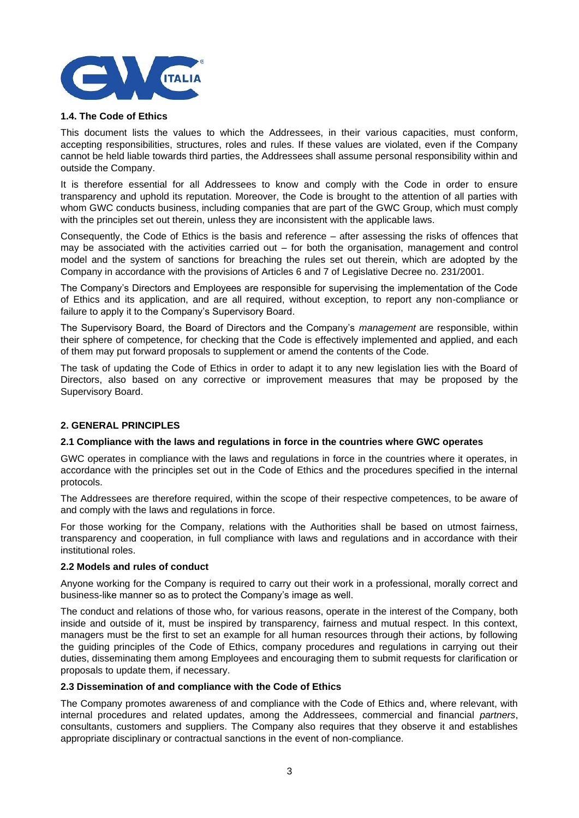

## **1.4. The Code of Ethics**

This document lists the values to which the Addressees, in their various capacities, must conform, accepting responsibilities, structures, roles and rules. If these values are violated, even if the Company cannot be held liable towards third parties, the Addressees shall assume personal responsibility within and outside the Company.

It is therefore essential for all Addressees to know and comply with the Code in order to ensure transparency and uphold its reputation. Moreover, the Code is brought to the attention of all parties with whom GWC conducts business, including companies that are part of the GWC Group, which must comply with the principles set out therein, unless they are inconsistent with the applicable laws.

Consequently, the Code of Ethics is the basis and reference – after assessing the risks of offences that may be associated with the activities carried out – for both the organisation, management and control model and the system of sanctions for breaching the rules set out therein, which are adopted by the Company in accordance with the provisions of Articles 6 and 7 of Legislative Decree no. 231/2001.

The Company's Directors and Employees are responsible for supervising the implementation of the Code of Ethics and its application, and are all required, without exception, to report any non-compliance or failure to apply it to the Company's Supervisory Board.

The Supervisory Board, the Board of Directors and the Company's *management* are responsible, within their sphere of competence, for checking that the Code is effectively implemented and applied, and each of them may put forward proposals to supplement or amend the contents of the Code.

The task of updating the Code of Ethics in order to adapt it to any new legislation lies with the Board of Directors, also based on any corrective or improvement measures that may be proposed by the Supervisory Board.

# **2. GENERAL PRINCIPLES**

#### **2.1 Compliance with the laws and regulations in force in the countries where GWC operates**

GWC operates in compliance with the laws and regulations in force in the countries where it operates, in accordance with the principles set out in the Code of Ethics and the procedures specified in the internal protocols.

The Addressees are therefore required, within the scope of their respective competences, to be aware of and comply with the laws and regulations in force.

For those working for the Company, relations with the Authorities shall be based on utmost fairness, transparency and cooperation, in full compliance with laws and regulations and in accordance with their institutional roles.

#### **2.2 Models and rules of conduct**

Anyone working for the Company is required to carry out their work in a professional, morally correct and business-like manner so as to protect the Company's image as well.

The conduct and relations of those who, for various reasons, operate in the interest of the Company, both inside and outside of it, must be inspired by transparency, fairness and mutual respect. In this context, managers must be the first to set an example for all human resources through their actions, by following the guiding principles of the Code of Ethics, company procedures and regulations in carrying out their duties, disseminating them among Employees and encouraging them to submit requests for clarification or proposals to update them, if necessary.

#### **2.3 Dissemination of and compliance with the Code of Ethics**

The Company promotes awareness of and compliance with the Code of Ethics and, where relevant, with internal procedures and related updates, among the Addressees, commercial and financial *partners*, consultants, customers and suppliers. The Company also requires that they observe it and establishes appropriate disciplinary or contractual sanctions in the event of non-compliance.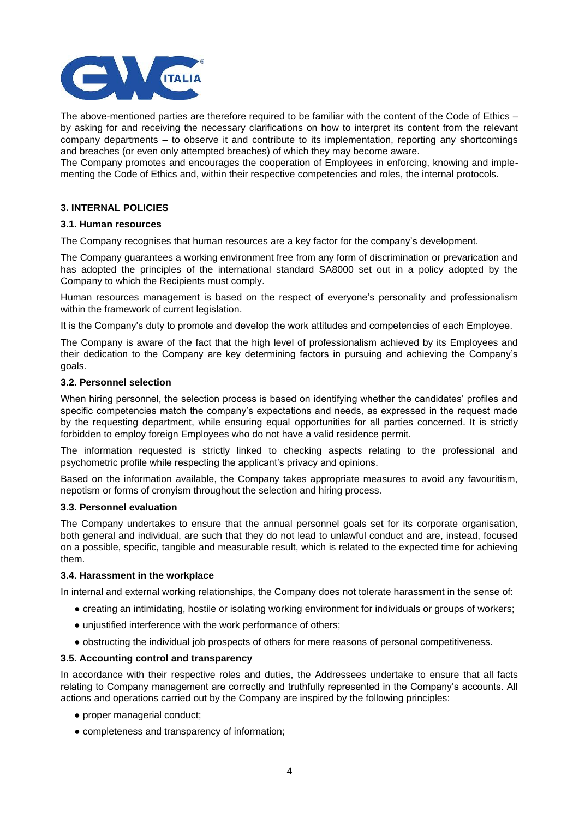

The above-mentioned parties are therefore required to be familiar with the content of the Code of Ethics – by asking for and receiving the necessary clarifications on how to interpret its content from the relevant company departments – to observe it and contribute to its implementation, reporting any shortcomings and breaches (or even only attempted breaches) of which they may become aware.

The Company promotes and encourages the cooperation of Employees in enforcing, knowing and implementing the Code of Ethics and, within their respective competencies and roles, the internal protocols.

# **3. INTERNAL POLICIES**

#### **3.1. Human resources**

The Company recognises that human resources are a key factor for the company's development.

The Company guarantees a working environment free from any form of discrimination or prevarication and has adopted the principles of the international standard SA8000 set out in a policy adopted by the Company to which the Recipients must comply.

Human resources management is based on the respect of everyone's personality and professionalism within the framework of current legislation.

It is the Company's duty to promote and develop the work attitudes and competencies of each Employee.

The Company is aware of the fact that the high level of professionalism achieved by its Employees and their dedication to the Company are key determining factors in pursuing and achieving the Company's goals.

# **3.2. Personnel selection**

When hiring personnel, the selection process is based on identifying whether the candidates' profiles and specific competencies match the company's expectations and needs, as expressed in the request made by the requesting department, while ensuring equal opportunities for all parties concerned. It is strictly forbidden to employ foreign Employees who do not have a valid residence permit.

The information requested is strictly linked to checking aspects relating to the professional and psychometric profile while respecting the applicant's privacy and opinions.

Based on the information available, the Company takes appropriate measures to avoid any favouritism, nepotism or forms of cronyism throughout the selection and hiring process.

#### **3.3. Personnel evaluation**

The Company undertakes to ensure that the annual personnel goals set for its corporate organisation, both general and individual, are such that they do not lead to unlawful conduct and are, instead, focused on a possible, specific, tangible and measurable result, which is related to the expected time for achieving them.

#### **3.4. Harassment in the workplace**

In internal and external working relationships, the Company does not tolerate harassment in the sense of:

- creating an intimidating, hostile or isolating working environment for individuals or groups of workers;
- unjustified interference with the work performance of others;
- obstructing the individual job prospects of others for mere reasons of personal competitiveness.

#### **3.5. Accounting control and transparency**

In accordance with their respective roles and duties, the Addressees undertake to ensure that all facts relating to Company management are correctly and truthfully represented in the Company's accounts. All actions and operations carried out by the Company are inspired by the following principles:

- proper managerial conduct;
- completeness and transparency of information;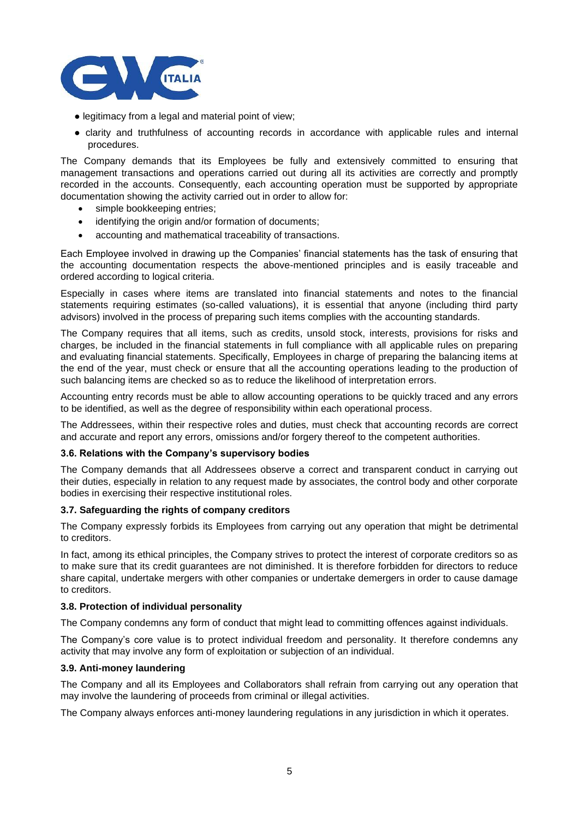

- legitimacy from a legal and material point of view;
- clarity and truthfulness of accounting records in accordance with applicable rules and internal procedures.

The Company demands that its Employees be fully and extensively committed to ensuring that management transactions and operations carried out during all its activities are correctly and promptly recorded in the accounts. Consequently, each accounting operation must be supported by appropriate documentation showing the activity carried out in order to allow for:

- simple bookkeeping entries;
- identifying the origin and/or formation of documents;
- accounting and mathematical traceability of transactions.

Each Employee involved in drawing up the Companies' financial statements has the task of ensuring that the accounting documentation respects the above-mentioned principles and is easily traceable and ordered according to logical criteria.

Especially in cases where items are translated into financial statements and notes to the financial statements requiring estimates (so-called valuations), it is essential that anyone (including third party advisors) involved in the process of preparing such items complies with the accounting standards.

The Company requires that all items, such as credits, unsold stock, interests, provisions for risks and charges, be included in the financial statements in full compliance with all applicable rules on preparing and evaluating financial statements. Specifically, Employees in charge of preparing the balancing items at the end of the year, must check or ensure that all the accounting operations leading to the production of such balancing items are checked so as to reduce the likelihood of interpretation errors.

Accounting entry records must be able to allow accounting operations to be quickly traced and any errors to be identified, as well as the degree of responsibility within each operational process.

The Addressees, within their respective roles and duties, must check that accounting records are correct and accurate and report any errors, omissions and/or forgery thereof to the competent authorities.

#### **3.6. Relations with the Company's supervisory bodies**

The Company demands that all Addressees observe a correct and transparent conduct in carrying out their duties, especially in relation to any request made by associates, the control body and other corporate bodies in exercising their respective institutional roles.

#### **3.7. Safeguarding the rights of company creditors**

The Company expressly forbids its Employees from carrying out any operation that might be detrimental to creditors.

In fact, among its ethical principles, the Company strives to protect the interest of corporate creditors so as to make sure that its credit guarantees are not diminished. It is therefore forbidden for directors to reduce share capital, undertake mergers with other companies or undertake demergers in order to cause damage to creditors.

#### **3.8. Protection of individual personality**

The Company condemns any form of conduct that might lead to committing offences against individuals.

The Company's core value is to protect individual freedom and personality. It therefore condemns any activity that may involve any form of exploitation or subjection of an individual.

#### **3.9. Anti-money laundering**

The Company and all its Employees and Collaborators shall refrain from carrying out any operation that may involve the laundering of proceeds from criminal or illegal activities.

The Company always enforces anti-money laundering regulations in any jurisdiction in which it operates.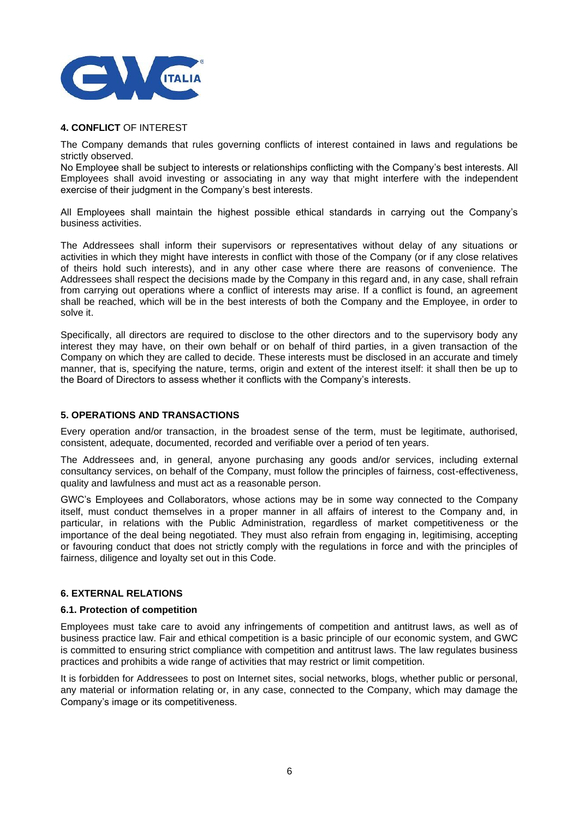

# **4. CONFLICT** OF INTEREST

The Company demands that rules governing conflicts of interest contained in laws and regulations be strictly observed.

No Employee shall be subject to interests or relationships conflicting with the Company's best interests. All Employees shall avoid investing or associating in any way that might interfere with the independent exercise of their judgment in the Company's best interests.

All Employees shall maintain the highest possible ethical standards in carrying out the Company's business activities.

The Addressees shall inform their supervisors or representatives without delay of any situations or activities in which they might have interests in conflict with those of the Company (or if any close relatives of theirs hold such interests), and in any other case where there are reasons of convenience. The Addressees shall respect the decisions made by the Company in this regard and, in any case, shall refrain from carrying out operations where a conflict of interests may arise. If a conflict is found, an agreement shall be reached, which will be in the best interests of both the Company and the Employee, in order to solve it.

Specifically, all directors are required to disclose to the other directors and to the supervisory body any interest they may have, on their own behalf or on behalf of third parties, in a given transaction of the Company on which they are called to decide. These interests must be disclosed in an accurate and timely manner, that is, specifying the nature, terms, origin and extent of the interest itself: it shall then be up to the Board of Directors to assess whether it conflicts with the Company's interests.

# **5. OPERATIONS AND TRANSACTIONS**

Every operation and/or transaction, in the broadest sense of the term, must be legitimate, authorised, consistent, adequate, documented, recorded and verifiable over a period of ten years.

The Addressees and, in general, anyone purchasing any goods and/or services, including external consultancy services, on behalf of the Company, must follow the principles of fairness, cost-effectiveness, quality and lawfulness and must act as a reasonable person.

GWC's Employees and Collaborators, whose actions may be in some way connected to the Company itself, must conduct themselves in a proper manner in all affairs of interest to the Company and, in particular, in relations with the Public Administration, regardless of market competitiveness or the importance of the deal being negotiated. They must also refrain from engaging in, legitimising, accepting or favouring conduct that does not strictly comply with the regulations in force and with the principles of fairness, diligence and loyalty set out in this Code.

# **6. EXTERNAL RELATIONS**

#### **6.1. Protection of competition**

Employees must take care to avoid any infringements of competition and antitrust laws, as well as of business practice law. Fair and ethical competition is a basic principle of our economic system, and GWC is committed to ensuring strict compliance with competition and antitrust laws. The law regulates business practices and prohibits a wide range of activities that may restrict or limit competition.

It is forbidden for Addressees to post on Internet sites, social networks, blogs, whether public or personal, any material or information relating or, in any case, connected to the Company, which may damage the Company's image or its competitiveness.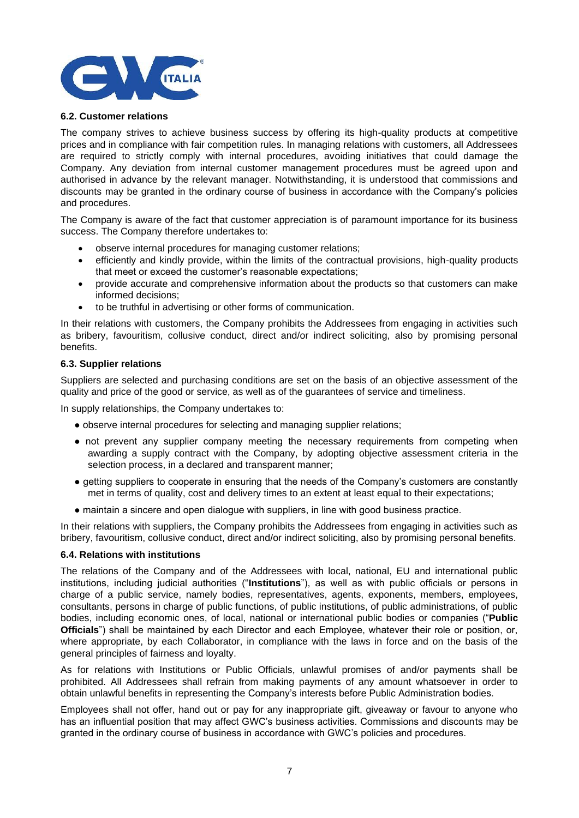

#### **6.2. Customer relations**

The company strives to achieve business success by offering its high-quality products at competitive prices and in compliance with fair competition rules. In managing relations with customers, all Addressees are required to strictly comply with internal procedures, avoiding initiatives that could damage the Company. Any deviation from internal customer management procedures must be agreed upon and authorised in advance by the relevant manager. Notwithstanding, it is understood that commissions and discounts may be granted in the ordinary course of business in accordance with the Company's policies and procedures.

The Company is aware of the fact that customer appreciation is of paramount importance for its business success. The Company therefore undertakes to:

- observe internal procedures for managing customer relations;
- efficiently and kindly provide, within the limits of the contractual provisions, high-quality products that meet or exceed the customer's reasonable expectations;
- provide accurate and comprehensive information about the products so that customers can make informed decisions;
- to be truthful in advertising or other forms of communication.

In their relations with customers, the Company prohibits the Addressees from engaging in activities such as bribery, favouritism, collusive conduct, direct and/or indirect soliciting, also by promising personal benefits.

# **6.3. Supplier relations**

Suppliers are selected and purchasing conditions are set on the basis of an objective assessment of the quality and price of the good or service, as well as of the guarantees of service and timeliness.

In supply relationships, the Company undertakes to:

- observe internal procedures for selecting and managing supplier relations;
- not prevent any supplier company meeting the necessary requirements from competing when awarding a supply contract with the Company, by adopting objective assessment criteria in the selection process, in a declared and transparent manner;
- getting suppliers to cooperate in ensuring that the needs of the Company's customers are constantly met in terms of quality, cost and delivery times to an extent at least equal to their expectations;
- maintain a sincere and open dialogue with suppliers, in line with good business practice.

In their relations with suppliers, the Company prohibits the Addressees from engaging in activities such as bribery, favouritism, collusive conduct, direct and/or indirect soliciting, also by promising personal benefits.

#### **6.4. Relations with institutions**

The relations of the Company and of the Addressees with local, national, EU and international public institutions, including judicial authorities ("**Institutions**"), as well as with public officials or persons in charge of a public service, namely bodies, representatives, agents, exponents, members, employees, consultants, persons in charge of public functions, of public institutions, of public administrations, of public bodies, including economic ones, of local, national or international public bodies or companies ("**Public Officials**") shall be maintained by each Director and each Employee, whatever their role or position, or, where appropriate, by each Collaborator, in compliance with the laws in force and on the basis of the general principles of fairness and loyalty.

As for relations with Institutions or Public Officials, unlawful promises of and/or payments shall be prohibited. All Addressees shall refrain from making payments of any amount whatsoever in order to obtain unlawful benefits in representing the Company's interests before Public Administration bodies.

Employees shall not offer, hand out or pay for any inappropriate gift, giveaway or favour to anyone who has an influential position that may affect GWC's business activities. Commissions and discounts may be granted in the ordinary course of business in accordance with GWC's policies and procedures.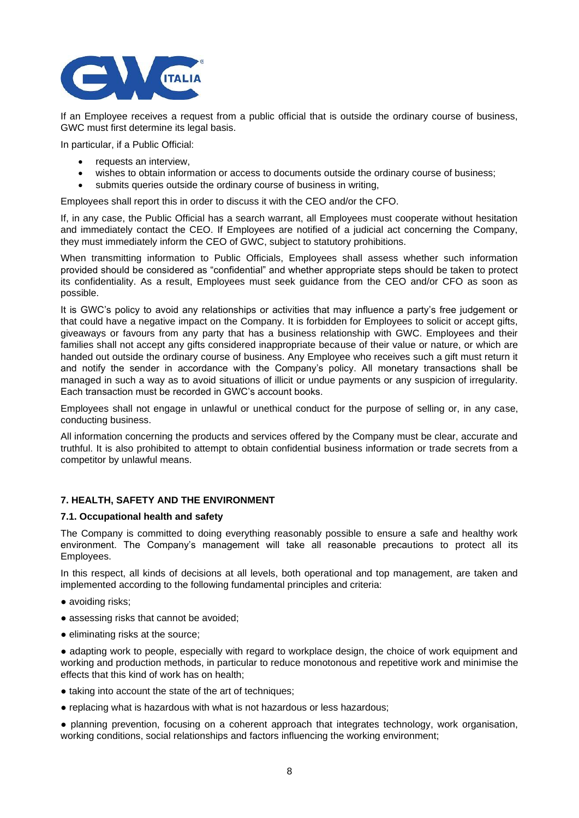

If an Employee receives a request from a public official that is outside the ordinary course of business, GWC must first determine its legal basis.

In particular, if a Public Official:

- requests an interview,
- wishes to obtain information or access to documents outside the ordinary course of business;
- submits queries outside the ordinary course of business in writing,

Employees shall report this in order to discuss it with the CEO and/or the CFO.

If, in any case, the Public Official has a search warrant, all Employees must cooperate without hesitation and immediately contact the CEO. If Employees are notified of a judicial act concerning the Company, they must immediately inform the CEO of GWC, subject to statutory prohibitions.

When transmitting information to Public Officials, Employees shall assess whether such information provided should be considered as "confidential" and whether appropriate steps should be taken to protect its confidentiality. As a result, Employees must seek guidance from the CEO and/or CFO as soon as possible.

It is GWC's policy to avoid any relationships or activities that may influence a party's free judgement or that could have a negative impact on the Company. It is forbidden for Employees to solicit or accept gifts, giveaways or favours from any party that has a business relationship with GWC. Employees and their families shall not accept any gifts considered inappropriate because of their value or nature, or which are handed out outside the ordinary course of business. Any Employee who receives such a gift must return it and notify the sender in accordance with the Company's policy. All monetary transactions shall be managed in such a way as to avoid situations of illicit or undue payments or any suspicion of irregularity. Each transaction must be recorded in GWC's account books.

Employees shall not engage in unlawful or unethical conduct for the purpose of selling or, in any case, conducting business.

All information concerning the products and services offered by the Company must be clear, accurate and truthful. It is also prohibited to attempt to obtain confidential business information or trade secrets from a competitor by unlawful means.

# **7. HEALTH, SAFETY AND THE ENVIRONMENT**

#### **7.1. Occupational health and safety**

The Company is committed to doing everything reasonably possible to ensure a safe and healthy work environment. The Company's management will take all reasonable precautions to protect all its Employees.

In this respect, all kinds of decisions at all levels, both operational and top management, are taken and implemented according to the following fundamental principles and criteria:

- avoiding risks:
- assessing risks that cannot be avoided;
- eliminating risks at the source;

• adapting work to people, especially with regard to workplace design, the choice of work equipment and working and production methods, in particular to reduce monotonous and repetitive work and minimise the effects that this kind of work has on health;

- taking into account the state of the art of techniques:
- replacing what is hazardous with what is not hazardous or less hazardous;

● planning prevention, focusing on a coherent approach that integrates technology, work organisation, working conditions, social relationships and factors influencing the working environment;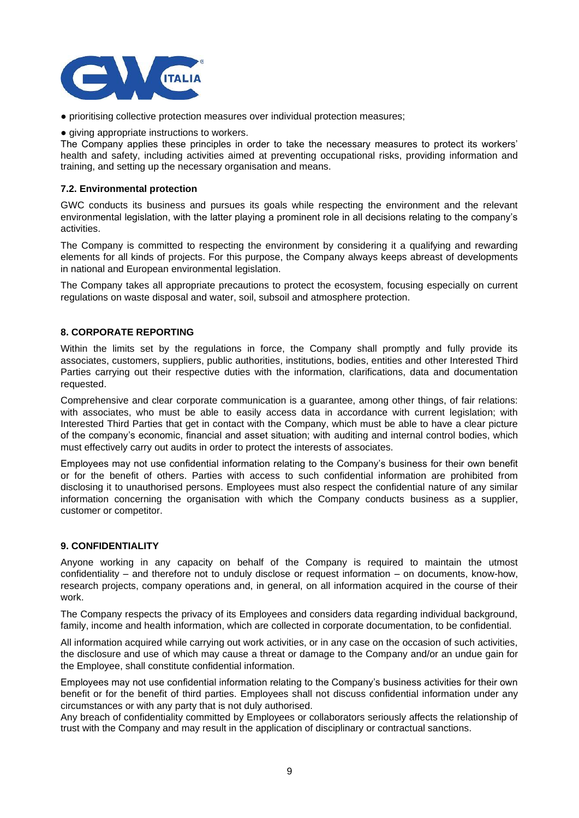

- prioritising collective protection measures over individual protection measures;
- giving appropriate instructions to workers.

The Company applies these principles in order to take the necessary measures to protect its workers' health and safety, including activities aimed at preventing occupational risks, providing information and training, and setting up the necessary organisation and means.

## **7.2. Environmental protection**

GWC conducts its business and pursues its goals while respecting the environment and the relevant environmental legislation, with the latter playing a prominent role in all decisions relating to the company's activities.

The Company is committed to respecting the environment by considering it a qualifying and rewarding elements for all kinds of projects. For this purpose, the Company always keeps abreast of developments in national and European environmental legislation.

The Company takes all appropriate precautions to protect the ecosystem, focusing especially on current regulations on waste disposal and water, soil, subsoil and atmosphere protection.

# **8. CORPORATE REPORTING**

Within the limits set by the regulations in force, the Company shall promptly and fully provide its associates, customers, suppliers, public authorities, institutions, bodies, entities and other Interested Third Parties carrying out their respective duties with the information, clarifications, data and documentation requested.

Comprehensive and clear corporate communication is a guarantee, among other things, of fair relations: with associates, who must be able to easily access data in accordance with current legislation; with Interested Third Parties that get in contact with the Company, which must be able to have a clear picture of the company's economic, financial and asset situation; with auditing and internal control bodies, which must effectively carry out audits in order to protect the interests of associates.

Employees may not use confidential information relating to the Company's business for their own benefit or for the benefit of others. Parties with access to such confidential information are prohibited from disclosing it to unauthorised persons. Employees must also respect the confidential nature of any similar information concerning the organisation with which the Company conducts business as a supplier, customer or competitor.

# **9. CONFIDENTIALITY**

Anyone working in any capacity on behalf of the Company is required to maintain the utmost confidentiality – and therefore not to unduly disclose or request information – on documents, know-how, research projects, company operations and, in general, on all information acquired in the course of their work.

The Company respects the privacy of its Employees and considers data regarding individual background, family, income and health information, which are collected in corporate documentation, to be confidential.

All information acquired while carrying out work activities, or in any case on the occasion of such activities, the disclosure and use of which may cause a threat or damage to the Company and/or an undue gain for the Employee, shall constitute confidential information.

Employees may not use confidential information relating to the Company's business activities for their own benefit or for the benefit of third parties. Employees shall not discuss confidential information under any circumstances or with any party that is not duly authorised.

Any breach of confidentiality committed by Employees or collaborators seriously affects the relationship of trust with the Company and may result in the application of disciplinary or contractual sanctions.